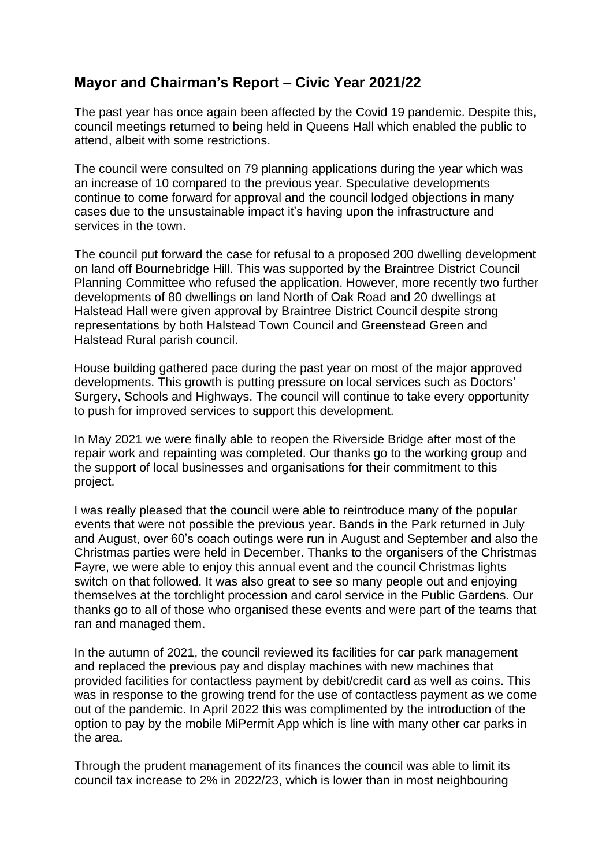## **Mayor and Chairman's Report – Civic Year 2021/22**

The past year has once again been affected by the Covid 19 pandemic. Despite this, council meetings returned to being held in Queens Hall which enabled the public to attend, albeit with some restrictions.

The council were consulted on 79 planning applications during the year which was an increase of 10 compared to the previous year. Speculative developments continue to come forward for approval and the council lodged objections in many cases due to the unsustainable impact it's having upon the infrastructure and services in the town.

The council put forward the case for refusal to a proposed 200 dwelling development on land off Bournebridge Hill. This was supported by the Braintree District Council Planning Committee who refused the application. However, more recently two further developments of 80 dwellings on land North of Oak Road and 20 dwellings at Halstead Hall were given approval by Braintree District Council despite strong representations by both Halstead Town Council and Greenstead Green and Halstead Rural parish council.

House building gathered pace during the past year on most of the major approved developments. This growth is putting pressure on local services such as Doctors' Surgery, Schools and Highways. The council will continue to take every opportunity to push for improved services to support this development.

In May 2021 we were finally able to reopen the Riverside Bridge after most of the repair work and repainting was completed. Our thanks go to the working group and the support of local businesses and organisations for their commitment to this project.

I was really pleased that the council were able to reintroduce many of the popular events that were not possible the previous year. Bands in the Park returned in July and August, over 60's coach outings were run in August and September and also the Christmas parties were held in December. Thanks to the organisers of the Christmas Fayre, we were able to enjoy this annual event and the council Christmas lights switch on that followed. It was also great to see so many people out and enjoying themselves at the torchlight procession and carol service in the Public Gardens. Our thanks go to all of those who organised these events and were part of the teams that ran and managed them.

In the autumn of 2021, the council reviewed its facilities for car park management and replaced the previous pay and display machines with new machines that provided facilities for contactless payment by debit/credit card as well as coins. This was in response to the growing trend for the use of contactless payment as we come out of the pandemic. In April 2022 this was complimented by the introduction of the option to pay by the mobile MiPermit App which is line with many other car parks in the area.

Through the prudent management of its finances the council was able to limit its council tax increase to 2% in 2022/23, which is lower than in most neighbouring